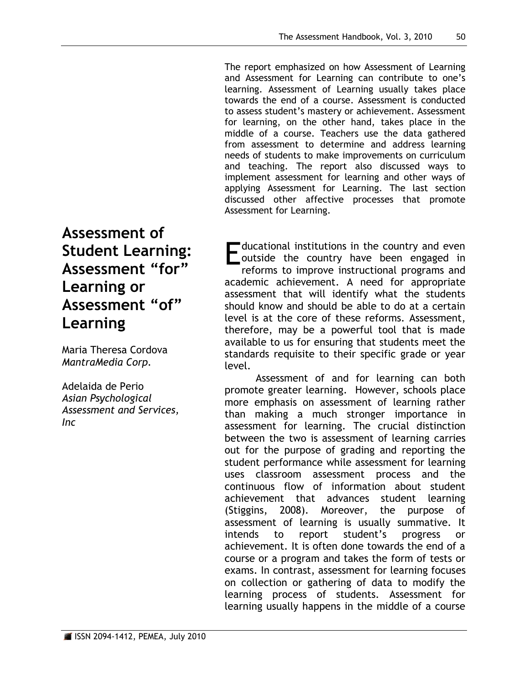The report emphasized on how Assessment of Learning and Assessment for Learning can contribute to one's learning. Assessment of Learning usually takes place towards the end of a course. Assessment is conducted to assess student's mastery or achievement. Assessment for learning, on the other hand, takes place in the middle of a course. Teachers use the data gathered from assessment to determine and address learning needs of students to make improvements on curriculum and teaching. The report also discussed ways to implement assessment for learning and other ways of applying Assessment for Learning. The last section discussed other affective processes that promote Assessment for Learning.

# **Assessment of Student Learning: Assessment "for" Learning or Assessment "of" Learning**

Maria Theresa Cordova *MantraMedia Corp.*

Adelaida de Perio *Asian Psychological Assessment and Services, Inc*

 $\blacksquare$  ducational institutions in the country and even outside the country have been engaged in reforms to improve instructional programs and academic achievement. A need for appropriate assessment that will identify what the students should know and should be able to do at a certain level is at the core of these reforms. Assessment, therefore, may be a powerful tool that is made available to us for ensuring that students meet the standards requisite to their specific grade or year level. E

Assessment of and for learning can both promote greater learning. However, schools place more emphasis on assessment of learning rather than making a much stronger importance in assessment for learning. The crucial distinction between the two is assessment of learning carries out for the purpose of grading and reporting the student performance while assessment for learning uses classroom assessment process and the continuous flow of information about student achievement that advances student learning (Stiggins, 2008). Moreover, the purpose of assessment of learning is usually summative. It intends to report student's progress or achievement. It is often done towards the end of a course or a program and takes the form of tests or exams. In contrast, assessment for learning focuses on collection or gathering of data to modify the learning process of students. Assessment for learning usually happens in the middle of a course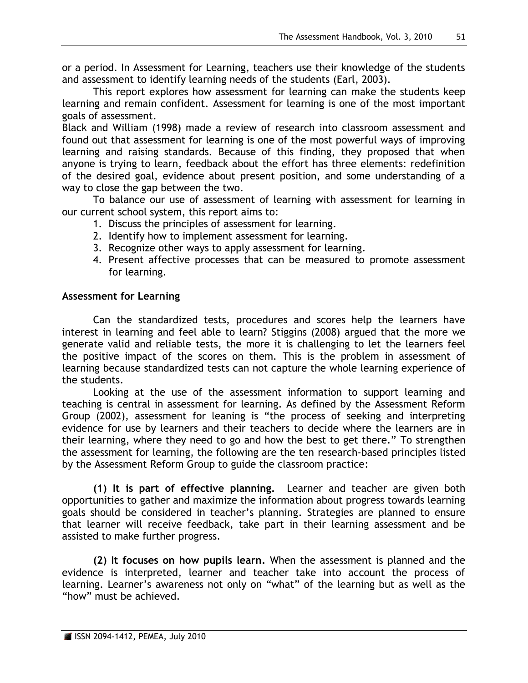or a period. In Assessment for Learning, teachers use their knowledge of the students and assessment to identify learning needs of the students (Earl, 2003).

This report explores how assessment for learning can make the students keep learning and remain confident. Assessment for learning is one of the most important goals of assessment.

Black and William (1998) made a review of research into classroom assessment and found out that assessment for learning is one of the most powerful ways of improving learning and raising standards. Because of this finding, they proposed that when anyone is trying to learn, feedback about the effort has three elements: redefinition of the desired goal, evidence about present position, and some understanding of a way to close the gap between the two.

To balance our use of assessment of learning with assessment for learning in our current school system, this report aims to:

- 1. Discuss the principles of assessment for learning.
- 2. Identify how to implement assessment for learning.
- 3. Recognize other ways to apply assessment for learning.
- 4. Present affective processes that can be measured to promote assessment for learning.

# **Assessment for Learning**

Can the standardized tests, procedures and scores help the learners have interest in learning and feel able to learn? Stiggins (2008) argued that the more we generate valid and reliable tests, the more it is challenging to let the learners feel the positive impact of the scores on them. This is the problem in assessment of learning because standardized tests can not capture the whole learning experience of the students.

Looking at the use of the assessment information to support learning and teaching is central in assessment for learning. As defined by the Assessment Reform Group (2002), assessment for leaning is "the process of seeking and interpreting evidence for use by learners and their teachers to decide where the learners are in their learning, where they need to go and how the best to get there." To strengthen the assessment for learning, the following are the ten research-based principles listed by the Assessment Reform Group to guide the classroom practice:

**(1) It is part of effective planning.** Learner and teacher are given both opportunities to gather and maximize the information about progress towards learning goals should be considered in teacher's planning. Strategies are planned to ensure that learner will receive feedback, take part in their learning assessment and be assisted to make further progress.

**(2) It focuses on how pupils learn.** When the assessment is planned and the evidence is interpreted, learner and teacher take into account the process of learning. Learner's awareness not only on "what" of the learning but as well as the "how" must be achieved.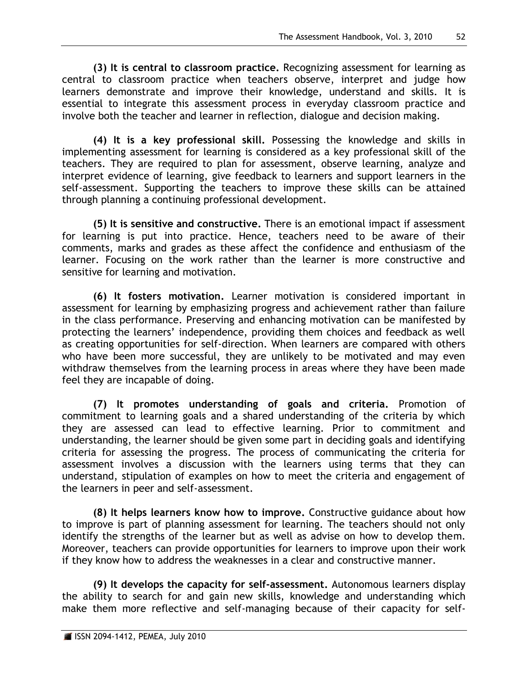**(3) It is central to classroom practice.** Recognizing assessment for learning as central to classroom practice when teachers observe, interpret and judge how learners demonstrate and improve their knowledge, understand and skills. It is essential to integrate this assessment process in everyday classroom practice and involve both the teacher and learner in reflection, dialogue and decision making.

**(4) It is a key professional skill.** Possessing the knowledge and skills in implementing assessment for learning is considered as a key professional skill of the teachers. They are required to plan for assessment, observe learning, analyze and interpret evidence of learning, give feedback to learners and support learners in the self-assessment. Supporting the teachers to improve these skills can be attained through planning a continuing professional development.

**(5) It is sensitive and constructive.** There is an emotional impact if assessment for learning is put into practice. Hence, teachers need to be aware of their comments, marks and grades as these affect the confidence and enthusiasm of the learner. Focusing on the work rather than the learner is more constructive and sensitive for learning and motivation.

**(6) It fosters motivation.** Learner motivation is considered important in assessment for learning by emphasizing progress and achievement rather than failure in the class performance. Preserving and enhancing motivation can be manifested by protecting the learners' independence, providing them choices and feedback as well as creating opportunities for self-direction. When learners are compared with others who have been more successful, they are unlikely to be motivated and may even withdraw themselves from the learning process in areas where they have been made feel they are incapable of doing.

**(7) It promotes understanding of goals and criteria.** Promotion of commitment to learning goals and a shared understanding of the criteria by which they are assessed can lead to effective learning. Prior to commitment and understanding, the learner should be given some part in deciding goals and identifying criteria for assessing the progress. The process of communicating the criteria for assessment involves a discussion with the learners using terms that they can understand, stipulation of examples on how to meet the criteria and engagement of the learners in peer and self-assessment.

**(8) It helps learners know how to improve.** Constructive guidance about how to improve is part of planning assessment for learning. The teachers should not only identify the strengths of the learner but as well as advise on how to develop them. Moreover, teachers can provide opportunities for learners to improve upon their work if they know how to address the weaknesses in a clear and constructive manner.

**(9) It develops the capacity for self-assessment.** Autonomous learners display the ability to search for and gain new skills, knowledge and understanding which make them more reflective and self-managing because of their capacity for self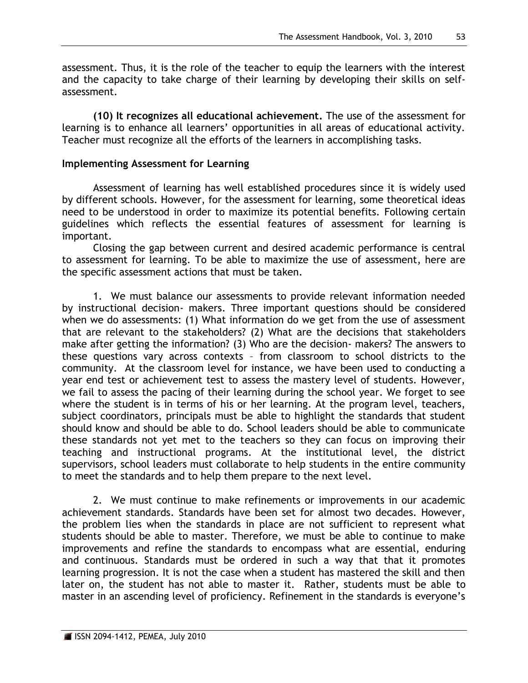assessment. Thus, it is the role of the teacher to equip the learners with the interest and the capacity to take charge of their learning by developing their skills on selfassessment.

**(10) It recognizes all educational achievement.** The use of the assessment for learning is to enhance all learners' opportunities in all areas of educational activity. Teacher must recognize all the efforts of the learners in accomplishing tasks.

#### **Implementing Assessment for Learning**

Assessment of learning has well established procedures since it is widely used by different schools. However, for the assessment for learning, some theoretical ideas need to be understood in order to maximize its potential benefits. Following certain guidelines which reflects the essential features of assessment for learning is important.

Closing the gap between current and desired academic performance is central to assessment for learning. To be able to maximize the use of assessment, here are the specific assessment actions that must be taken.

1. We must balance our assessments to provide relevant information needed by instructional decision- makers. Three important questions should be considered when we do assessments: (1) What information do we get from the use of assessment that are relevant to the stakeholders? (2) What are the decisions that stakeholders make after getting the information? (3) Who are the decision- makers? The answers to these questions vary across contexts – from classroom to school districts to the community. At the classroom level for instance, we have been used to conducting a year end test or achievement test to assess the mastery level of students. However, we fail to assess the pacing of their learning during the school year. We forget to see where the student is in terms of his or her learning. At the program level, teachers, subject coordinators, principals must be able to highlight the standards that student should know and should be able to do. School leaders should be able to communicate these standards not yet met to the teachers so they can focus on improving their teaching and instructional programs. At the institutional level, the district supervisors, school leaders must collaborate to help students in the entire community to meet the standards and to help them prepare to the next level.

2. We must continue to make refinements or improvements in our academic achievement standards. Standards have been set for almost two decades. However, the problem lies when the standards in place are not sufficient to represent what students should be able to master. Therefore, we must be able to continue to make improvements and refine the standards to encompass what are essential, enduring and continuous. Standards must be ordered in such a way that that it promotes learning progression. It is not the case when a student has mastered the skill and then later on, the student has not able to master it. Rather, students must be able to master in an ascending level of proficiency. Refinement in the standards is everyone's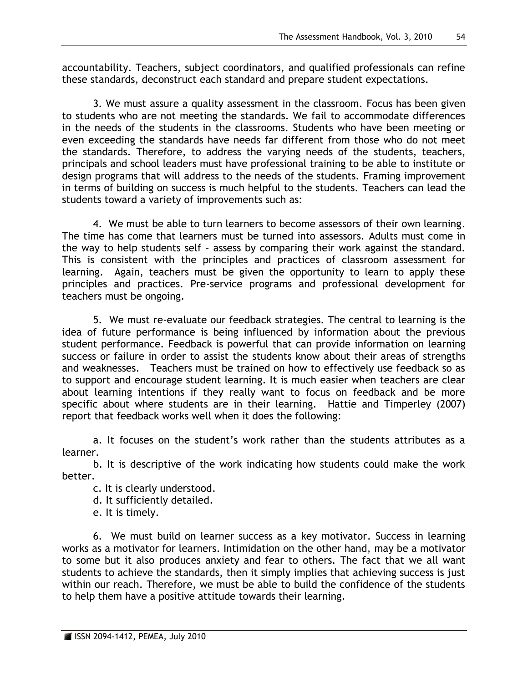accountability. Teachers, subject coordinators, and qualified professionals can refine these standards, deconstruct each standard and prepare student expectations.

3. We must assure a quality assessment in the classroom. Focus has been given to students who are not meeting the standards. We fail to accommodate differences in the needs of the students in the classrooms. Students who have been meeting or even exceeding the standards have needs far different from those who do not meet the standards. Therefore, to address the varying needs of the students, teachers, principals and school leaders must have professional training to be able to institute or design programs that will address to the needs of the students. Framing improvement in terms of building on success is much helpful to the students. Teachers can lead the students toward a variety of improvements such as:

4. We must be able to turn learners to become assessors of their own learning. The time has come that learners must be turned into assessors. Adults must come in the way to help students self – assess by comparing their work against the standard. This is consistent with the principles and practices of classroom assessment for learning. Again, teachers must be given the opportunity to learn to apply these principles and practices. Pre-service programs and professional development for teachers must be ongoing.

5. We must re-evaluate our feedback strategies. The central to learning is the idea of future performance is being influenced by information about the previous student performance. Feedback is powerful that can provide information on learning success or failure in order to assist the students know about their areas of strengths and weaknesses. Teachers must be trained on how to effectively use feedback so as to support and encourage student learning. It is much easier when teachers are clear about learning intentions if they really want to focus on feedback and be more specific about where students are in their learning. Hattie and Timperley (2007) report that feedback works well when it does the following:

a. It focuses on the student's work rather than the students attributes as a learner.

b. It is descriptive of the work indicating how students could make the work better.

- c. It is clearly understood.
- d. It sufficiently detailed.
- e. It is timely.

6. We must build on learner success as a key motivator. Success in learning works as a motivator for learners. Intimidation on the other hand, may be a motivator to some but it also produces anxiety and fear to others. The fact that we all want students to achieve the standards, then it simply implies that achieving success is just within our reach. Therefore, we must be able to build the confidence of the students to help them have a positive attitude towards their learning.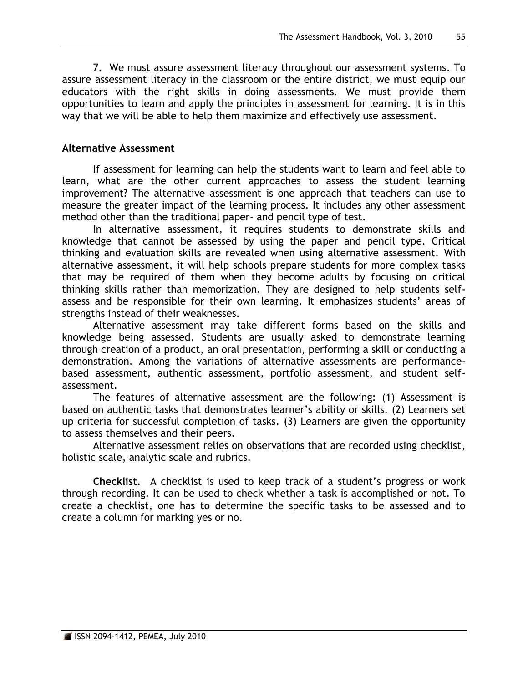7. We must assure assessment literacy throughout our assessment systems. To assure assessment literacy in the classroom or the entire district, we must equip our educators with the right skills in doing assessments. We must provide them opportunities to learn and apply the principles in assessment for learning. It is in this way that we will be able to help them maximize and effectively use assessment.

## **Alternative Assessment**

If assessment for learning can help the students want to learn and feel able to learn, what are the other current approaches to assess the student learning improvement? The alternative assessment is one approach that teachers can use to measure the greater impact of the learning process. It includes any other assessment method other than the traditional paper- and pencil type of test.

In alternative assessment, it requires students to demonstrate skills and knowledge that cannot be assessed by using the paper and pencil type. Critical thinking and evaluation skills are revealed when using alternative assessment. With alternative assessment, it will help schools prepare students for more complex tasks that may be required of them when they become adults by focusing on critical thinking skills rather than memorization. They are designed to help students selfassess and be responsible for their own learning. It emphasizes students' areas of strengths instead of their weaknesses.

Alternative assessment may take different forms based on the skills and knowledge being assessed. Students are usually asked to demonstrate learning through creation of a product, an oral presentation, performing a skill or conducting a demonstration. Among the variations of alternative assessments are performancebased assessment, authentic assessment, portfolio assessment, and student selfassessment.

The features of alternative assessment are the following: (1) Assessment is based on authentic tasks that demonstrates learner's ability or skills. (2) Learners set up criteria for successful completion of tasks. (3) Learners are given the opportunity to assess themselves and their peers.

Alternative assessment relies on observations that are recorded using checklist, holistic scale, analytic scale and rubrics.

**Checklist.** A checklist is used to keep track of a student's progress or work through recording. It can be used to check whether a task is accomplished or not. To create a checklist, one has to determine the specific tasks to be assessed and to create a column for marking yes or no.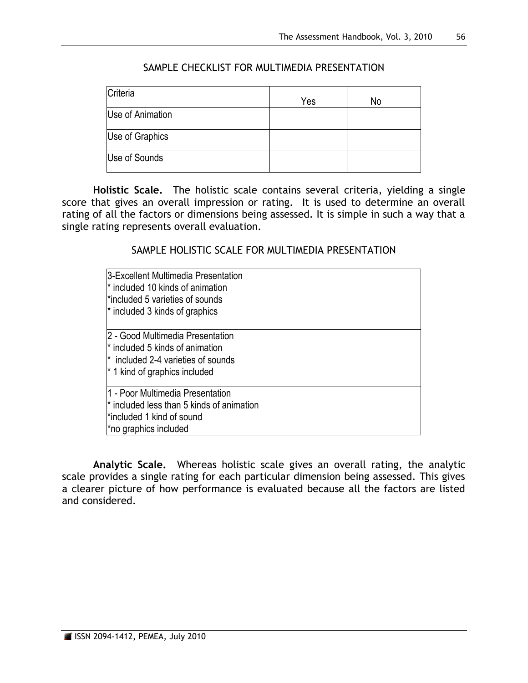| Criteria         | Yes | No |
|------------------|-----|----|
| Use of Animation |     |    |
| Use of Graphics  |     |    |
| Use of Sounds    |     |    |

## SAMPLE CHECKLIST FOR MULTIMEDIA PRESENTATION

**Holistic Scale.** The holistic scale contains several criteria, yielding a single score that gives an overall impression or rating. It is used to determine an overall rating of all the factors or dimensions being assessed. It is simple in such a way that a single rating represents overall evaluation.

#### SAMPLE HOLISTIC SCALE FOR MULTIMEDIA PRESENTATION

| 3-Excellent Multimedia Presentation<br><sup>*</sup> included 10 kinds of animation<br>i*included 5 varieties of sounds<br>$*$ included 3 kinds of graphics         |  |
|--------------------------------------------------------------------------------------------------------------------------------------------------------------------|--|
| 2 - Good Multimedia Presentation<br><sup>*</sup> included 5 kinds of animation<br><sup>*</sup> included 2-4 varieties of sounds<br>$*$ 1 kind of graphics included |  |
| 11 - Poor Multimedia Presentation<br>$*$ included less than 5 kinds of animation<br>i*included 1 kind of sound<br>*no graphics included                            |  |

**Analytic Scale.** Whereas holistic scale gives an overall rating, the analytic scale provides a single rating for each particular dimension being assessed. This gives a clearer picture of how performance is evaluated because all the factors are listed and considered.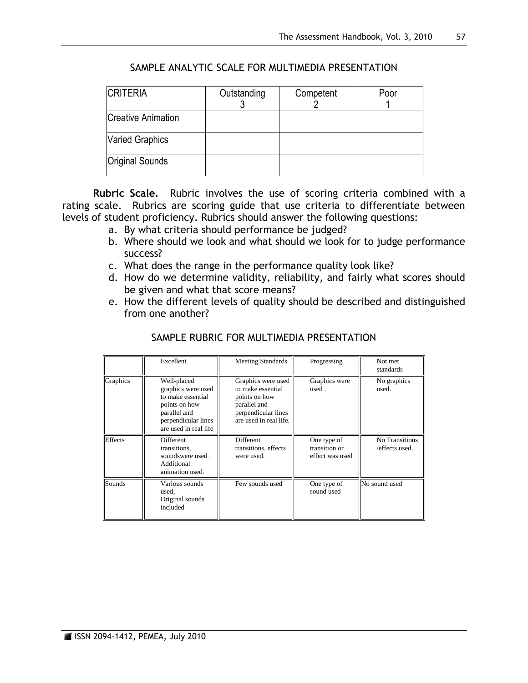| <b>CRITERIA</b>           | Outstanding | Competent | Poor |
|---------------------------|-------------|-----------|------|
| <b>Creative Animation</b> |             |           |      |
| <b>Varied Graphics</b>    |             |           |      |
| Original Sounds           |             |           |      |

## SAMPLE ANALYTIC SCALE FOR MULTIMEDIA PRESENTATION

**Rubric Scale.** Rubric involves the use of scoring criteria combined with a rating scale. Rubrics are scoring guide that use criteria to differentiate between levels of student proficiency. Rubrics should answer the following questions:

- a. By what criteria should performance be judged?
- b. Where should we look and what should we look for to judge performance success?
- c. What does the range in the performance quality look like?
- d. How do we determine validity, reliability, and fairly what scores should be given and what that score means?
- e. How the different levels of quality should be described and distinguished from one another?

|                | Excellent                                                                                                                               | <b>Meeting Standards</b>                                                                                                  | Progressing                                     | Not met<br>standards             |
|----------------|-----------------------------------------------------------------------------------------------------------------------------------------|---------------------------------------------------------------------------------------------------------------------------|-------------------------------------------------|----------------------------------|
| Graphics       | Well-placed<br>graphics were used<br>to make essential<br>points on how<br>parallel and<br>perpendicular lines<br>are used in real life | Graphics were used<br>to make essential<br>points on how<br>parallel and<br>perpendicular lines<br>are used in real life. | Graphics were<br>used.                          | No graphics<br>used.             |
| <b>Effects</b> | <b>Different</b><br>transitions,<br>soundswere used.<br>Additional<br>animation used.                                                   | Different<br>transitions, effects<br>were used.                                                                           | One type of<br>transition or<br>effect was used | No Transitions<br>/effects used. |
| Sounds         | Various sounds<br>used,<br>Original sounds<br>included                                                                                  | Few sounds used                                                                                                           | One type of<br>sound used                       | No sound used                    |

## SAMPLE RUBRIC FOR MULTIMEDIA PRESENTATION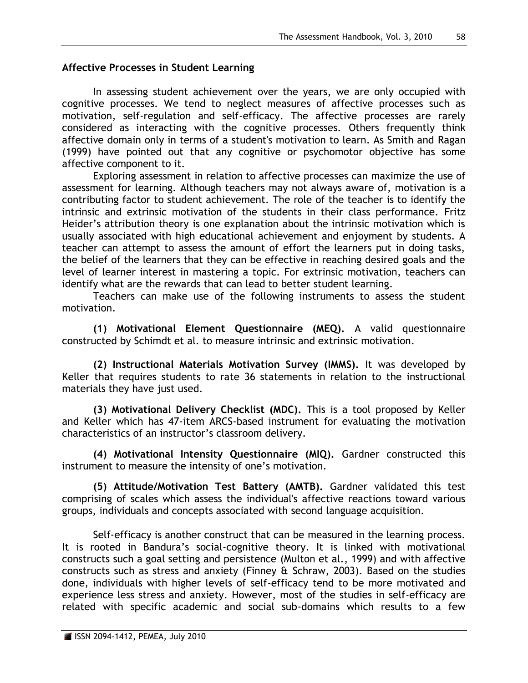# **Affective Processes in Student Learning**

In assessing student achievement over the years, we are only occupied with cognitive processes. We tend to neglect measures of affective processes such as motivation, self-regulation and self-efficacy. The affective processes are rarely considered as interacting with the cognitive processes. Others frequently think affective domain only in terms of a student's motivation to learn. As Smith and Ragan (1999) have pointed out that any cognitive or psychomotor objective has some affective component to it.

Exploring assessment in relation to affective processes can maximize the use of assessment for learning. Although teachers may not always aware of, motivation is a contributing factor to student achievement. The role of the teacher is to identify the intrinsic and extrinsic motivation of the students in their class performance. Fritz Heider's attribution theory is one explanation about the intrinsic motivation which is usually associated with high educational achievement and enjoyment by students. A teacher can attempt to assess the amount of effort the learners put in doing tasks, the belief of the learners that they can be effective in reaching desired goals and the level of learner interest in mastering a topic. For extrinsic motivation, teachers can identify what are the rewards that can lead to better student learning.

Teachers can make use of the following instruments to assess the student motivation.

**(1) Motivational Element Questionnaire (MEQ).** A valid questionnaire constructed by Schimdt et al. to measure intrinsic and extrinsic motivation.

**(2) Instructional Materials Motivation Survey (IMMS).** It was developed by Keller that requires students to rate 36 statements in relation to the instructional materials they have just used.

**(3) Motivational Delivery Checklist (MDC).** This is a tool proposed by Keller and Keller which has 47-item ARCS-based instrument for evaluating the motivation characteristics of an instructor's classroom delivery.

**(4) Motivational Intensity Questionnaire (MIQ).** Gardner constructed this instrument to measure the intensity of one's motivation.

**(5) Attitude/Motivation Test Battery (AMTB).** Gardner validated this test comprising of scales which assess the individual's affective reactions toward various groups, individuals and concepts associated with second language acquisition.

Self-efficacy is another construct that can be measured in the learning process. It is rooted in Bandura's social-cognitive theory. It is linked with motivational constructs such a goal setting and persistence (Multon et al., 1999) and with affective constructs such as stress and anxiety (Finney & Schraw, 2003). Based on the studies done, individuals with higher levels of self-efficacy tend to be more motivated and experience less stress and anxiety. However, most of the studies in self-efficacy are related with specific academic and social sub-domains which results to a few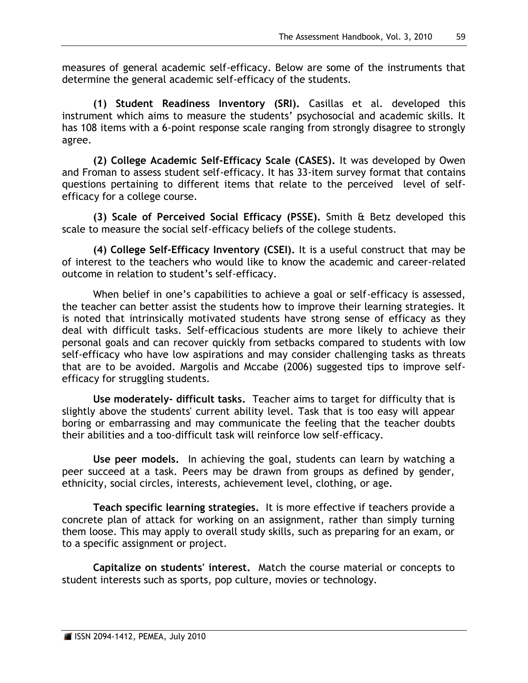measures of general academic self-efficacy. Below are some of the instruments that determine the general academic self-efficacy of the students.

**(1) Student Readiness Inventory (SRI).** Casillas et al. developed this instrument which aims to measure the students' psychosocial and academic skills. It has 108 items with a 6-point response scale ranging from strongly disagree to strongly agree.

**(2) College Academic Self-Efficacy Scale (CASES).** It was developed by Owen and Froman to assess student self-efficacy. It has 33-item survey format that contains questions pertaining to different items that relate to the perceived level of selfefficacy for a college course.

**(3) Scale of Perceived Social Efficacy (PSSE).** Smith & Betz developed this scale to measure the social self-efficacy beliefs of the college students.

**(4) College Self-Efficacy Inventory (CSEI).** It is a useful construct that may be of interest to the teachers who would like to know the academic and career-related outcome in relation to student's self-efficacy.

When belief in one's capabilities to achieve a goal or self-efficacy is assessed, the teacher can better assist the students how to improve their learning strategies. It is noted that intrinsically motivated students have strong sense of efficacy as they deal with difficult tasks. Self-efficacious students are more likely to achieve their personal goals and can recover quickly from setbacks compared to students with low self-efficacy who have low aspirations and may consider challenging tasks as threats that are to be avoided. Margolis and Mccabe (2006) suggested tips to improve selfefficacy for struggling students.

**Use moderately- difficult tasks.** Teacher aims to target for difficulty that is slightly above the students' current ability level. Task that is too easy will appear boring or embarrassing and may communicate the feeling that the teacher doubts their abilities and a too-difficult task will reinforce low self-efficacy.

**Use peer models.** In achieving the goal, students can learn by watching a peer succeed at a task. Peers may be drawn from groups as defined by gender, ethnicity, social circles, interests, achievement level, clothing, or age.

**Teach specific learning strategies.** It is more effective if teachers provide a concrete plan of attack for working on an assignment, rather than simply turning them loose. This may apply to overall study skills, such as preparing for an exam, or to a specific assignment or project.

**Capitalize on students' interest.** Match the course material or concepts to student interests such as sports, pop culture, movies or technology.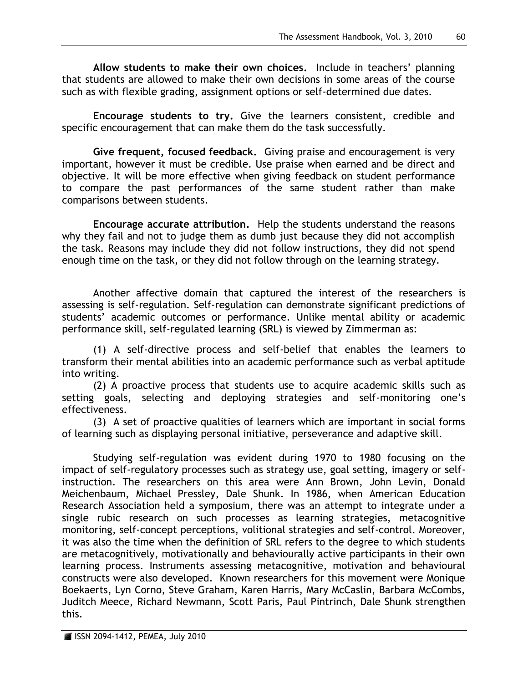**Allow students to make their own choices.** Include in teachers' planning that students are allowed to make their own decisions in some areas of the course such as with flexible grading, assignment options or self-determined due dates.

**Encourage students to try.** Give the learners consistent, credible and specific encouragement that can make them do the task successfully.

**Give frequent, focused feedback.** Giving praise and encouragement is very important, however it must be credible. Use praise when earned and be direct and objective. It will be more effective when giving feedback on student performance to compare the past performances of the same student rather than make comparisons between students.

**Encourage accurate attribution.** Help the students understand the reasons why they fail and not to judge them as dumb just because they did not accomplish the task. Reasons may include they did not follow instructions, they did not spend enough time on the task, or they did not follow through on the learning strategy.

Another affective domain that captured the interest of the researchers is assessing is self-regulation. Self-regulation can demonstrate significant predictions of students' academic outcomes or performance. Unlike mental ability or academic performance skill, self-regulated learning (SRL) is viewed by Zimmerman as:

(1) A self-directive process and self-belief that enables the learners to transform their mental abilities into an academic performance such as verbal aptitude into writing.

(2) A proactive process that students use to acquire academic skills such as setting goals, selecting and deploying strategies and self-monitoring one's effectiveness.

(3) A set of proactive qualities of learners which are important in social forms of learning such as displaying personal initiative, perseverance and adaptive skill.

Studying self-regulation was evident during 1970 to 1980 focusing on the impact of self-regulatory processes such as strategy use, goal setting, imagery or selfinstruction. The researchers on this area were Ann Brown, John Levin, Donald Meichenbaum, Michael Pressley, Dale Shunk. In 1986, when American Education Research Association held a symposium, there was an attempt to integrate under a single rubic research on such processes as learning strategies, metacognitive monitoring, self-concept perceptions, volitional strategies and self-control. Moreover, it was also the time when the definition of SRL refers to the degree to which students are metacognitively, motivationally and behaviourally active participants in their own learning process. Instruments assessing metacognitive, motivation and behavioural constructs were also developed. Known researchers for this movement were Monique Boekaerts, Lyn Corno, Steve Graham, Karen Harris, Mary McCaslin, Barbara McCombs, Juditch Meece, Richard Newmann, Scott Paris, Paul Pintrinch, Dale Shunk strengthen this.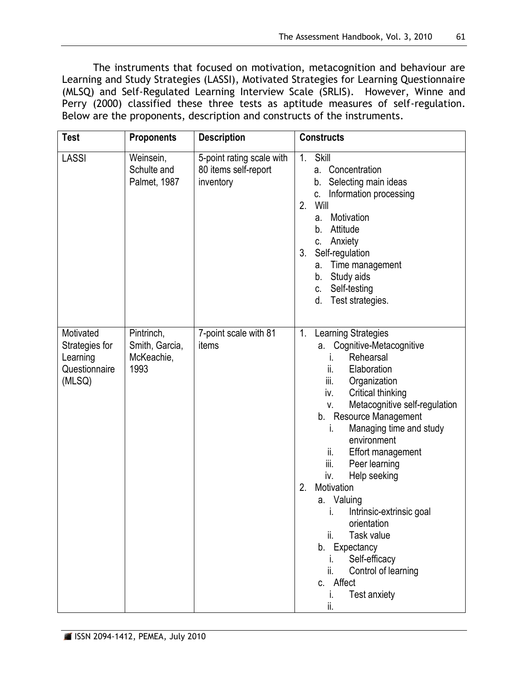The instruments that focused on motivation, metacognition and behaviour are Learning and Study Strategies (LASSI), Motivated Strategies for Learning Questionnaire (MLSQ) and Self-Regulated Learning Interview Scale (SRLIS). However, Winne and Perry (2000) classified these three tests as aptitude measures of self-regulation. Below are the proponents, description and constructs of the instruments.

| <b>Test</b>                                                        | <b>Proponents</b>                                  | <b>Description</b>                                             | <b>Constructs</b>                                                                                                                                                                                                                                                                                                                                                                                                                                                                                                                                             |  |
|--------------------------------------------------------------------|----------------------------------------------------|----------------------------------------------------------------|---------------------------------------------------------------------------------------------------------------------------------------------------------------------------------------------------------------------------------------------------------------------------------------------------------------------------------------------------------------------------------------------------------------------------------------------------------------------------------------------------------------------------------------------------------------|--|
| <b>LASSI</b>                                                       | Weinsein,<br>Schulte and<br>Palmet, 1987           | 5-point rating scale with<br>80 items self-report<br>inventory | 1.<br>Skill<br>Concentration<br>а.<br>Selecting main ideas<br>b.<br>Information processing<br>C.<br>2.<br>Will<br>Motivation<br>а.<br>Attitude<br>b.<br>Anxiety<br>C.<br>3.<br>Self-regulation<br>Time management<br>а.<br>Study aids<br>b.<br>Self-testing<br>C.<br>Test strategies.<br>d.                                                                                                                                                                                                                                                                   |  |
| Motivated<br>Strategies for<br>Learning<br>Questionnaire<br>(MLSQ) | Pintrinch,<br>Smith, Garcia,<br>McKeachie,<br>1993 | 7-point scale with 81<br>items                                 | Learning Strategies<br>1.<br>Cognitive-Metacognitive<br>a.<br>Rehearsal<br>T.<br>Elaboration<br>ii.<br>iii.<br>Organization<br>iv.<br>Critical thinking<br>Metacognitive self-regulation<br>V.<br>b. Resource Management<br>Managing time and study<br>۱.<br>environment<br>ii.<br>Effort management<br>iii.<br>Peer learning<br>iv.<br>Help seeking<br>2.<br>Motivation<br>Valuing<br>а.<br>Intrinsic-extrinsic goal<br>orientation<br>ii.<br>Task value<br>b. Expectancy<br>Self-efficacy<br>Control of learning<br>ii.<br>c. Affect<br>Test anxiety<br>İİ. |  |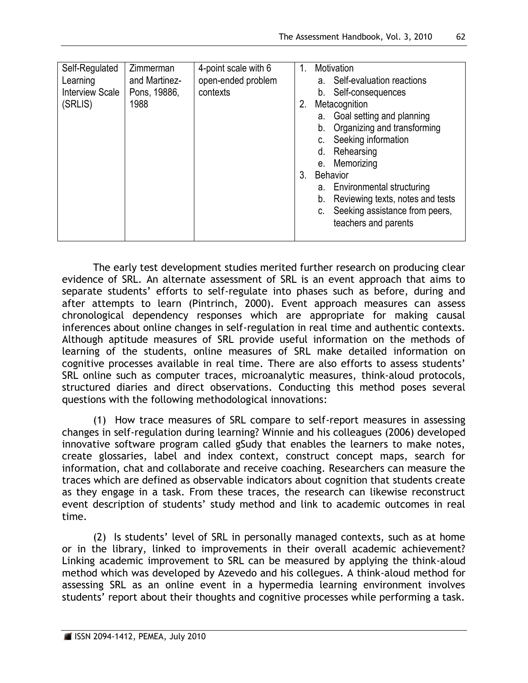| Self-Regulated<br>Learning | Zimmerman<br>and Martinez- | 4-point scale with 6<br>open-ended problem | 1. | Motivation<br>Self-evaluation reactions<br>a. |  |
|----------------------------|----------------------------|--------------------------------------------|----|-----------------------------------------------|--|
| <b>Interview Scale</b>     | Pons, 19886,               | contexts                                   |    | Self-consequences<br>b.                       |  |
| (SRLIS)                    | 1988                       |                                            | 2. | Metacognition                                 |  |
|                            |                            |                                            |    | Goal setting and planning<br>а.               |  |
|                            |                            |                                            |    | Organizing and transforming<br>b.             |  |
|                            |                            |                                            |    | Seeking information                           |  |
|                            |                            |                                            |    | Rehearsing<br>d.                              |  |
|                            |                            |                                            |    | Memorizing<br>е.                              |  |
|                            |                            |                                            | 3. | <b>Behavior</b>                               |  |
|                            |                            |                                            |    | Environmental structuring<br>а.               |  |
|                            |                            |                                            |    | Reviewing texts, notes and tests<br>b.        |  |
|                            |                            |                                            |    | Seeking assistance from peers,                |  |
|                            |                            |                                            |    | teachers and parents                          |  |
|                            |                            |                                            |    |                                               |  |

The early test development studies merited further research on producing clear evidence of SRL. An alternate assessment of SRL is an event approach that aims to separate students' efforts to self-regulate into phases such as before, during and after attempts to learn (Pintrinch, 2000). Event approach measures can assess chronological dependency responses which are appropriate for making causal inferences about online changes in self-regulation in real time and authentic contexts. Although aptitude measures of SRL provide useful information on the methods of learning of the students, online measures of SRL make detailed information on cognitive processes available in real time. There are also efforts to assess students' SRL online such as computer traces, microanalytic measures, think-aloud protocols, structured diaries and direct observations. Conducting this method poses several questions with the following methodological innovations:

(1) How trace measures of SRL compare to self-report measures in assessing changes in self-regulation during learning? Winnie and his colleagues (2006) developed innovative software program called gSudy that enables the learners to make notes, create glossaries, label and index context, construct concept maps, search for information, chat and collaborate and receive coaching. Researchers can measure the traces which are defined as observable indicators about cognition that students create as they engage in a task. From these traces, the research can likewise reconstruct event description of students' study method and link to academic outcomes in real time.

(2) Is students' level of SRL in personally managed contexts, such as at home or in the library, linked to improvements in their overall academic achievement? Linking academic improvement to SRL can be measured by applying the think-aloud method which was developed by Azevedo and his collegues. A think-aloud method for assessing SRL as an online event in a hypermedia learning environment involves students' report about their thoughts and cognitive processes while performing a task.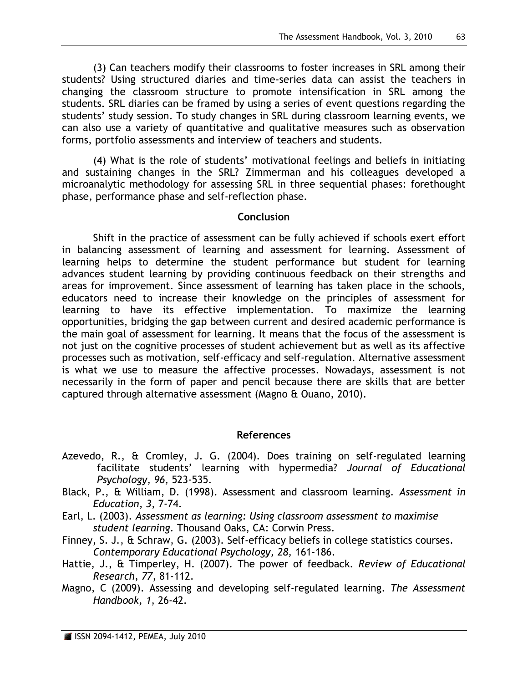(3) Can teachers modify their classrooms to foster increases in SRL among their students? Using structured diaries and time-series data can assist the teachers in changing the classroom structure to promote intensification in SRL among the students. SRL diaries can be framed by using a series of event questions regarding the students' study session. To study changes in SRL during classroom learning events, we can also use a variety of quantitative and qualitative measures such as observation forms, portfolio assessments and interview of teachers and students.

(4) What is the role of students' motivational feelings and beliefs in initiating and sustaining changes in the SRL? Zimmerman and his colleagues developed a microanalytic methodology for assessing SRL in three sequential phases: forethought phase, performance phase and self-reflection phase.

#### **Conclusion**

Shift in the practice of assessment can be fully achieved if schools exert effort in balancing assessment of learning and assessment for learning. Assessment of learning helps to determine the student performance but student for learning advances student learning by providing continuous feedback on their strengths and areas for improvement. Since assessment of learning has taken place in the schools, educators need to increase their knowledge on the principles of assessment for learning to have its effective implementation. To maximize the learning opportunities, bridging the gap between current and desired academic performance is the main goal of assessment for learning. It means that the focus of the assessment is not just on the cognitive processes of student achievement but as well as its affective processes such as motivation, self-efficacy and self-regulation. Alternative assessment is what we use to measure the affective processes. Nowadays, assessment is not necessarily in the form of paper and pencil because there are skills that are better captured through alternative assessment (Magno & Ouano, 2010).

#### **References**

- Azevedo, R., & Cromley, J. G. (2004). Does training on self-regulated learning facilitate students' learning with hypermedia? *Journal of Educational Psychology*, *96*, 523-535.
- Black, P., & William, D. (1998). Assessment and classroom learning. *Assessment in Education*, *3*, 7-74.
- Earl, L. (2003). *Assessment as learning: Using classroom assessment to maximise student learning.* Thousand Oaks, CA: Corwin Press.
- Finney, S. J., & Schraw, G. (2003). Self-efficacy beliefs in college statistics courses. *Contemporary Educational Psychology, 28,* 161-186.
- Hattie, J., & Timperley, H. (2007). The power of feedback. *Review of Educational Research*, *77*, 81-112.
- Magno, C (2009). Assessing and developing self-regulated learning. *The Assessment Handbook, 1*, 26-42.